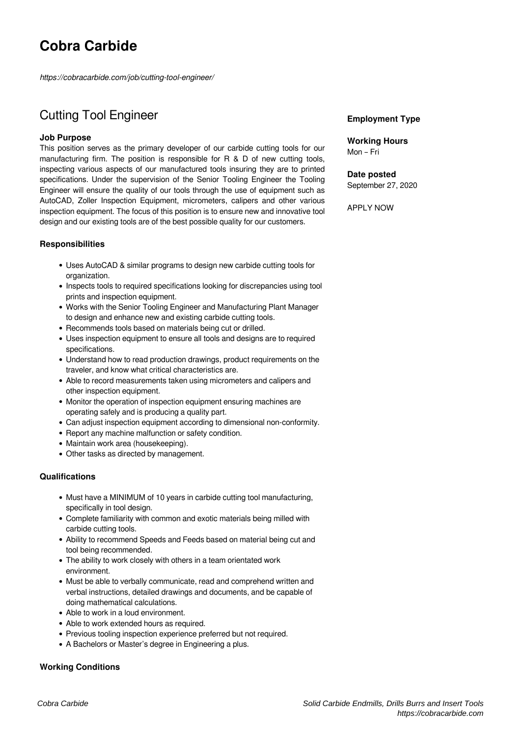# **Cobra Carbide**

*https://cobracarbide.com/job/cutting-tool-engineer/*

# Cutting Tool Engineer

# **Job Purpose**

This position serves as the primary developer of our carbide cutting tools for our manufacturing firm. The position is responsible for R & D of new cutting tools, inspecting various aspects of our manufactured tools insuring they are to printed specifications. Under the supervision of the Senior Tooling Engineer the Tooling Engineer will ensure the quality of our tools through the use of equipment such as AutoCAD, Zoller Inspection Equipment, micrometers, calipers and other various inspection equipment. The focus of this position is to ensure new and innovative tool design and our existing tools are of the best possible quality for our customers.

# **Responsibilities**

- Uses AutoCAD & similar programs to design new carbide cutting tools for organization.
- Inspects tools to required specifications looking for discrepancies using tool prints and inspection equipment.
- Works with the Senior Tooling Engineer and Manufacturing Plant Manager to design and enhance new and existing carbide cutting tools.
- Recommends tools based on materials being cut or drilled.
- Uses inspection equipment to ensure all tools and designs are to required specifications.
- Understand how to read production drawings, product requirements on the traveler, and know what critical characteristics are.
- Able to record measurements taken using micrometers and calipers and other inspection equipment.
- Monitor the operation of inspection equipment ensuring machines are operating safely and is producing a quality part.
- Can adjust inspection equipment according to dimensional non-conformity.
- Report any machine malfunction or safety condition.
- Maintain work area (housekeeping).
- Other tasks as directed by management.

#### **Qualifications**

- Must have a MINIMUM of 10 years in carbide cutting tool manufacturing, specifically in tool design.
- Complete familiarity with common and exotic materials being milled with carbide cutting tools.
- Ability to recommend Speeds and Feeds based on material being cut and tool being recommended.
- The ability to work closely with others in a team orientated work environment.
- Must be able to verbally communicate, read and comprehend written and verbal instructions, detailed drawings and documents, and be capable of doing mathematical calculations.
- Able to work in a loud environment.
- Able to work extended hours as required.
- Previous tooling inspection experience preferred but not required.
- A Bachelors or Master's degree in Engineering a plus.

# **Working Conditions**

### **Employment Type**

**Working Hours** Mon – Fri

**Date posted** September 27, 2020

APPLY NOW